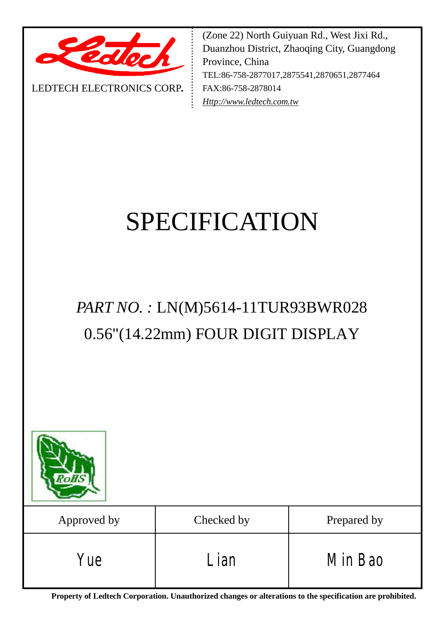

LEDTECH ELECTRONICS CORP**.**

(Zone 22) North Guiyuan Rd., West Jixi Rd., Duanzhou District, Zhaoqing City, Guangdong Province, China TEL:86-758-2877017,2875541,2870651,2877464 FAX:86-758-2878014 *[Http://www.ledtech.com.tw](http://www.ledtech.com.tw)*

# SPECIFICATION

## *PART NO. :* LN(M)5614-11TUR93BWR028 0.56"(14.22mm) FOUR DIGIT DISPLAY



**Property of Ledtech Corporation. Unauthorized changes or alterations to the specification are prohibited.**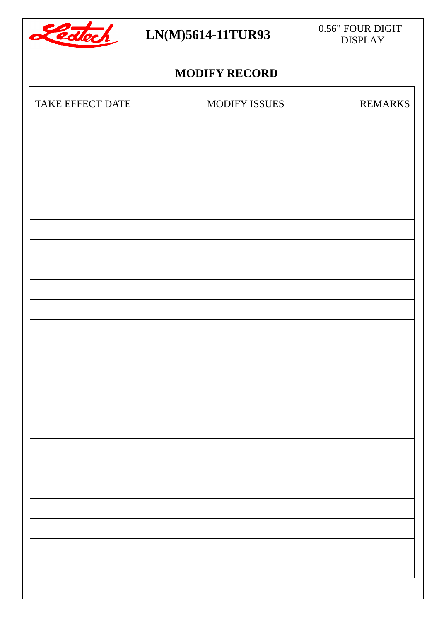

## DISPLAY

## **MODIFY RECORD**

| TAKE EFFECT DATE | <b>MODIFY ISSUES</b> | <b>REMARKS</b> |
|------------------|----------------------|----------------|
|                  |                      |                |
|                  |                      |                |
|                  |                      |                |
|                  |                      |                |
|                  |                      |                |
|                  |                      |                |
|                  |                      |                |
|                  |                      |                |
|                  |                      |                |
|                  |                      |                |
|                  |                      |                |
|                  |                      |                |
|                  |                      |                |
|                  |                      |                |
|                  |                      |                |
|                  |                      |                |
|                  |                      |                |
|                  |                      |                |
|                  |                      |                |
|                  |                      |                |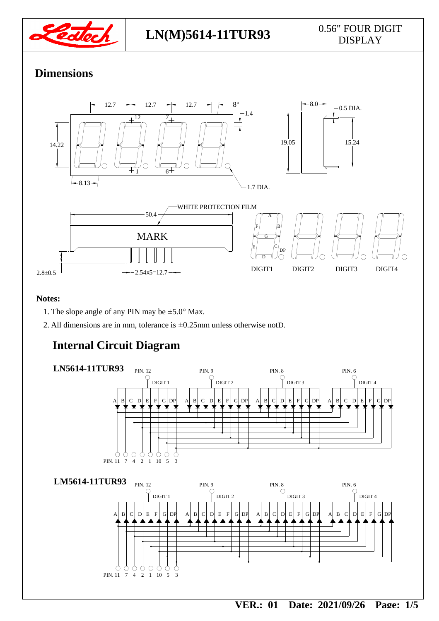

# DISPLAY

## **Dimensions**



#### **Notes:**

- 1. The slope angle of any PIN may be ±5.0° Max.
- 2. All dimensions are in mm, tolerance is ±0.25mm unless otherwise notD.

## **Internal Circuit Diagram**

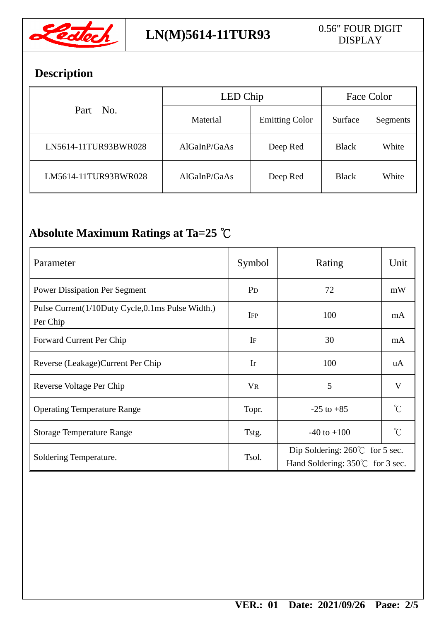

## **Description**

|                      | LED Chip     | Face Color            |              |          |
|----------------------|--------------|-----------------------|--------------|----------|
| Part No.             | Material     | <b>Emitting Color</b> | Surface      | Segments |
| LN5614-11TUR93BWR028 | AlGaInP/GaAs | Deep Red              | <b>Black</b> | White    |
| LM5614-11TUR93BWR028 | AlGaInP/GaAs | Deep Red              | <b>Black</b> | White    |

## **Absolute Maximum Ratings at Ta=25 ℃**

| Parameter                                                    | Symbol         | Rating                                                                      | Unit                |
|--------------------------------------------------------------|----------------|-----------------------------------------------------------------------------|---------------------|
| <b>Power Dissipation Per Segment</b>                         | P <sub>D</sub> | 72                                                                          | mW                  |
| Pulse Current(1/10Duty Cycle,0.1ms Pulse Width.)<br>Per Chip | <b>IFP</b>     | 100                                                                         | mA                  |
| Forward Current Per Chip                                     | IF             | 30                                                                          | mA                  |
| Reverse (Leakage) Current Per Chip                           | Ir             | 100                                                                         | uA                  |
| Reverse Voltage Per Chip                                     | $V_{R}$        | 5                                                                           | V                   |
| <b>Operating Temperature Range</b>                           | Topr.          | $-25$ to $+85$                                                              | $^{\circ}C$         |
| <b>Storage Temperature Range</b>                             | Tstg.          | $-40$ to $+100$                                                             | $\int_{0}^{\infty}$ |
| Soldering Temperature.                                       | Tsol.          | Dip Soldering: $260^{\circ}$ for 5 sec.<br>Hand Soldering: 350°C for 3 sec. |                     |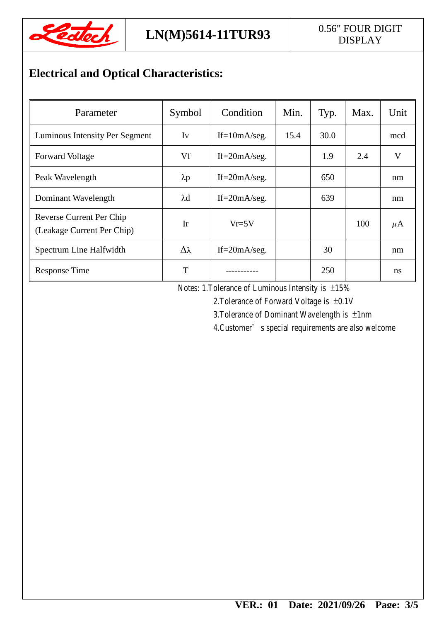

# DISPLAY

## **Electrical and Optical Characteristics:**

| Parameter                                                     | Symbol          | Condition                | Min. | Typ. | Max. | Unit          |
|---------------------------------------------------------------|-----------------|--------------------------|------|------|------|---------------|
| Luminous Intensity Per Segment                                | Iv              | $If=10mA/secg.$          | 15.4 | 30.0 |      | mcd           |
| <b>Forward Voltage</b>                                        | Vf              | $If = 20mA/\text{seg}$ . |      | 1.9  | 2.4  | V             |
| Peak Wavelength                                               | $\lambda p$     | If= $20mA/secg$ .        |      | 650  |      | nm            |
| Dominant Wavelength                                           | $\lambda$ d     | If= $20mA/secg$ .        |      | 639  |      | nm            |
| <b>Reverse Current Per Chip</b><br>(Leakage Current Per Chip) | Ir              | $Vr=5V$                  |      |      | 100  | $\mu$ A       |
| Spectrum Line Halfwidth                                       | $\Delta\lambda$ | If= $20mA/secg$ .        |      | 30   |      | nm            |
| <b>Response Time</b>                                          | T               |                          |      | 250  |      | <sub>ns</sub> |

Notes: 1.Tolerance of Luminous Intensity is ±15%

2.Tolerance of Forward Voltage is ±0.1V

3.Tolerance of Dominant Wavelength is ±1nm

4.Customer's special requirements are also welcome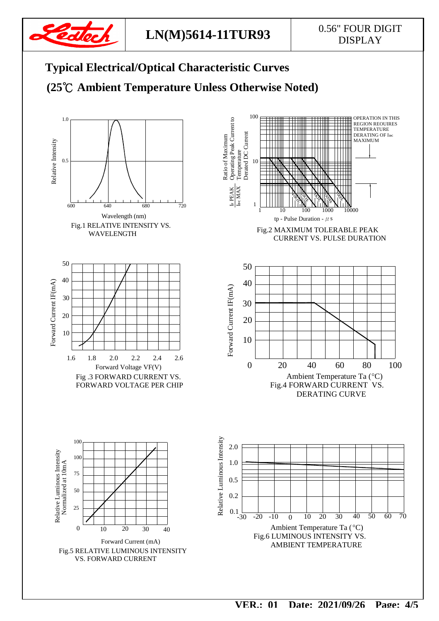